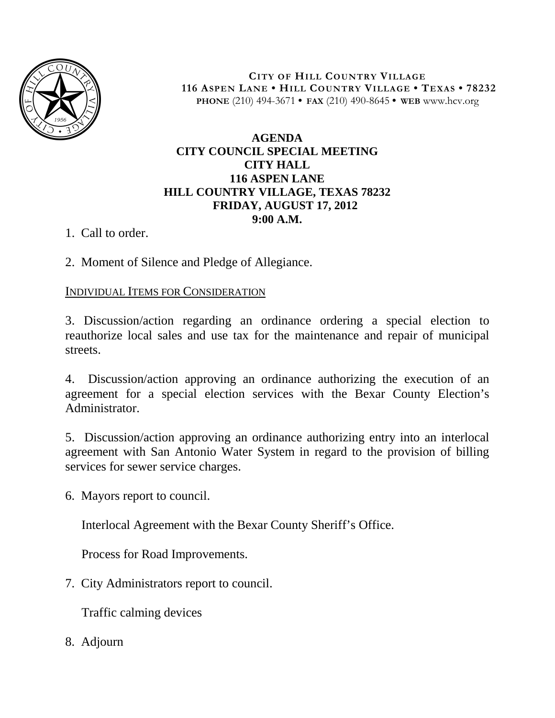

**CITY OF HILL COUNTRY VILLAGE 116 ASPEN LANE • HILL COUNTRY VILLAGE • TEXAS • 78232 PHONE** (210) 494-3671 **• FAX** (210) 490-8645 **• WEB** www.hcv.org

## **AGENDA CITY COUNCIL SPECIAL MEETING CITY HALL 116 ASPEN LANE HILL COUNTRY VILLAGE, TEXAS 78232 FRIDAY, AUGUST 17, 2012 9:00 A.M.**

1. Call to order.

2. Moment of Silence and Pledge of Allegiance.

## INDIVIDUAL ITEMS FOR CONSIDERATION

3. Discussion/action regarding an ordinance ordering a special election to reauthorize local sales and use tax for the maintenance and repair of municipal streets.

4. Discussion/action approving an ordinance authorizing the execution of an agreement for a special election services with the Bexar County Election's Administrator.

5. Discussion/action approving an ordinance authorizing entry into an interlocal agreement with San Antonio Water System in regard to the provision of billing services for sewer service charges.

6. Mayors report to council.

Interlocal Agreement with the Bexar County Sheriff's Office.

Process for Road Improvements.

7. City Administrators report to council.

Traffic calming devices

8. Adjourn